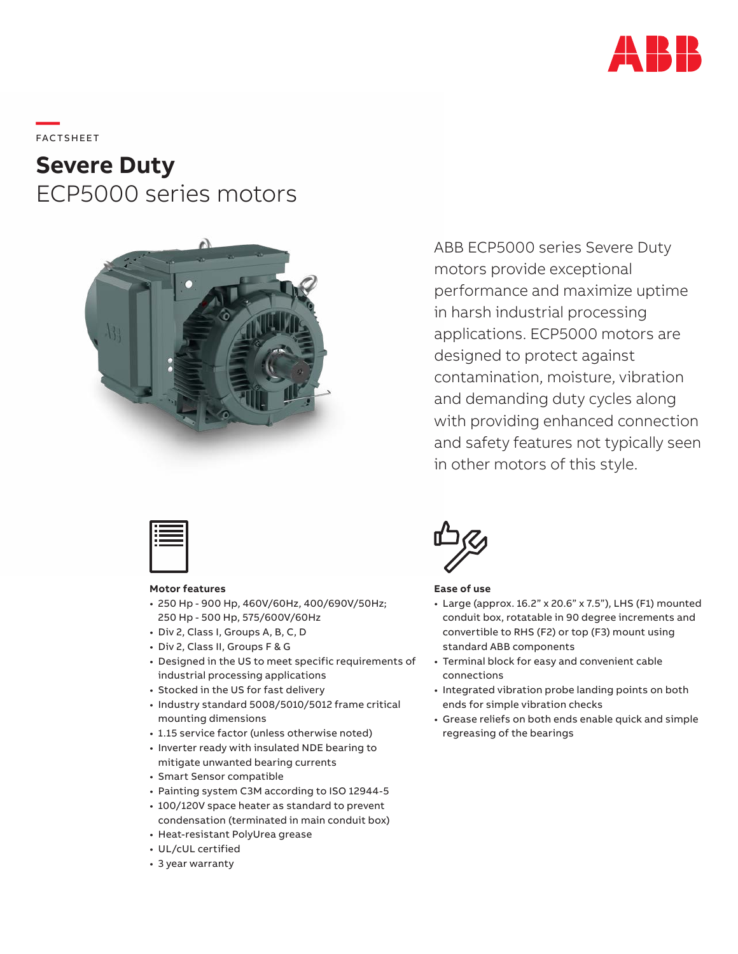

**—**  FAC TS H EE T

# **Severe Duty** ECP5000 series motors



ABB ECP5000 series Severe Duty motors provide exceptional performance and maximize uptime in harsh industrial processing applications. ECP5000 motors are designed to protect against contamination, moisture, vibration and demanding duty cycles along with providing enhanced connection and safety features not typically seen in other motors of this style.



### **Motor features**

- 250 Hp 900 Hp, 460V/60Hz, 400/690V/50Hz; 250 Hp - 500 Hp, 575/600V/60Hz
- Div 2, Class I, Groups A, B, C, D
- Div 2, Class II, Groups F & G
- Designed in the US to meet specific requirements of industrial processing applications
- Stocked in the US for fast delivery
- Industry standard 5008/5010/5012 frame critical mounting dimensions
- 1.15 service factor (unless otherwise noted)
- Inverter ready with insulated NDE bearing to mitigate unwanted bearing currents
- Smart Sensor compatible
- Painting system C3M according to ISO 12944-5
- 100/120V space heater as standard to prevent condensation (terminated in main conduit box)
- Heat-resistant PolyUrea grease
- UL/cUL certified
- 3 year warranty



### **Ease of use**

- Large (approx. 16.2" x 20.6" x 7.5"), LHS (F1) mounted conduit box, rotatable in 90 degree increments and convertible to RHS (F2) or top (F3) mount using standard ABB components
- Terminal block for easy and convenient cable connections
- Integrated vibration probe landing points on both ends for simple vibration checks
- Grease reliefs on both ends enable quick and simple regreasing of the bearings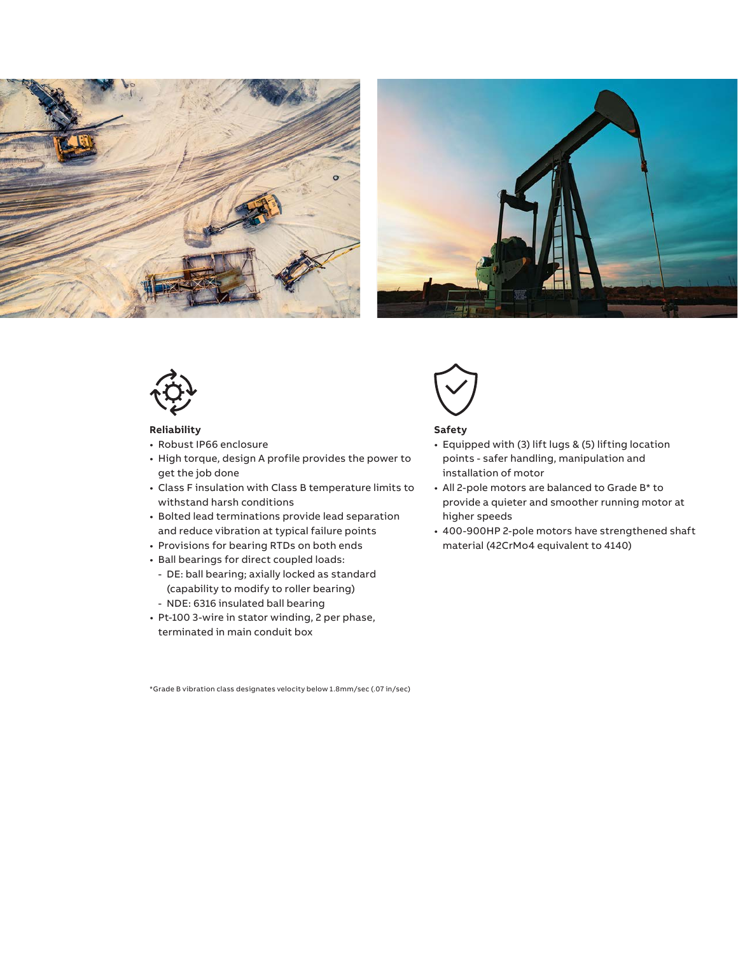





### **Reliability**

- Robust IP66 enclosure
- High torque, design A profile provides the power to get the job done
- Class F insulation with Class B temperature limits to withstand harsh conditions
- Bolted lead terminations provide lead separation and reduce vibration at typical failure points
- Provisions for bearing RTDs on both ends
- Ball bearings for direct coupled loads:
	- DE: ball bearing; axially locked as standard (capability to modify to roller bearing)
	- NDE: 6316 insulated ball bearing
- Pt-100 3-wire in stator winding, 2 per phase, terminated in main conduit box



## **Safety**

- Equipped with (3) lift lugs & (5) lifting location points - safer handling, manipulation and installation of motor
- All 2-pole motors are balanced to Grade B\* to provide a quieter and smoother running motor at higher speeds
- 400-900HP 2-pole motors have strengthened shaft material (42CrMo4 equivalent to 4140)

\*Grade B vibration class designates velocity below 1.8mm/sec (.07 in/sec)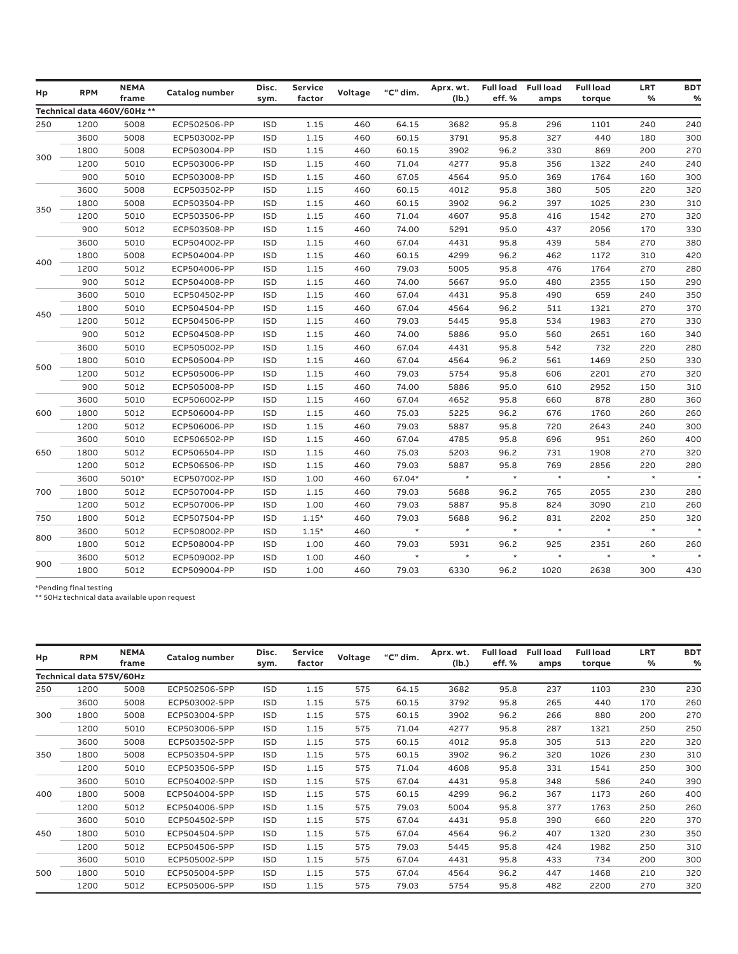| Hp  | <b>RPM</b> | <b>NEMA</b><br>frame        | Catalog number | Disc.<br>sym. | <b>Service</b><br>factor | Voltage | "C" dim. | Aprx. wt.<br>(Ib.) | <b>Full load</b><br>eff.% | <b>Full load</b><br>amps | <b>Full load</b><br>torque | <b>LRT</b><br>% | <b>BDT</b><br>% |
|-----|------------|-----------------------------|----------------|---------------|--------------------------|---------|----------|--------------------|---------------------------|--------------------------|----------------------------|-----------------|-----------------|
|     |            | Technical data 460V/60Hz ** |                |               |                          |         |          |                    |                           |                          |                            |                 |                 |
| 250 | 1200       | 5008                        | ECP502506-PP   | <b>ISD</b>    | 1.15                     | 460     | 64.15    | 3682               | 95.8                      | 296                      | 1101                       | 240             | 240             |
| 300 | 3600       | 5008                        | ECP503002-PP   | <b>ISD</b>    | 1.15                     | 460     | 60.15    | 3791               | 95.8                      | 327                      | 440                        | 180             | 300             |
|     | 1800       | 5008                        | ECP503004-PP   | <b>ISD</b>    | 1.15                     | 460     | 60.15    | 3902               | 96.2                      | 330                      | 869                        | 200             | 270             |
|     | 1200       | 5010                        | ECP503006-PP   | ISD           | 1.15                     | 460     | 71.04    | 4277               | 95.8                      | 356                      | 1322                       | 240             | 240             |
|     | 900        | 5010                        | ECP503008-PP   | <b>ISD</b>    | 1.15                     | 460     | 67.05    | 4564               | 95.0                      | 369                      | 1764                       | 160             | 300             |
|     | 3600       | 5008                        | ECP503502-PP   | ISD           | 1.15                     | 460     | 60.15    | 4012               | 95.8                      | 380                      | 505                        | 220             | 320             |
|     | 1800       | 5008                        | ECP503504-PP   | <b>ISD</b>    | 1.15                     | 460     | 60.15    | 3902               | 96.2                      | 397                      | 1025                       | 230             | 310             |
| 350 | 1200       | 5010                        | ECP503506-PP   | <b>ISD</b>    | 1.15                     | 460     | 71.04    | 4607               | 95.8                      | 416                      | 1542                       | 270             | 320             |
|     | 900        | 5012                        | ECP503508-PP   | <b>ISD</b>    | 1.15                     | 460     | 74.00    | 5291               | 95.0                      | 437                      | 2056                       | 170             | 330             |
| 400 | 3600       | 5010                        | ECP504002-PP   | <b>ISD</b>    | 1.15                     | 460     | 67.04    | 4431               | 95.8                      | 439                      | 584                        | 270             | 380             |
|     | 1800       | 5008                        | ECP504004-PP   | <b>ISD</b>    | 1.15                     | 460     | 60.15    | 4299               | 96.2                      | 462                      | 1172                       | 310             | 420             |
|     | 1200       | 5012                        | ECP504006-PP   | <b>ISD</b>    | 1.15                     | 460     | 79.03    | 5005               | 95.8                      | 476                      | 1764                       | 270             | 280             |
|     | 900        | 5012                        | ECP504008-PP   | <b>ISD</b>    | 1.15                     | 460     | 74.00    | 5667               | 95.0                      | 480                      | 2355                       | 150             | 290             |
| 450 | 3600       | 5010                        | ECP504502-PP   | <b>ISD</b>    | 1.15                     | 460     | 67.04    | 4431               | 95.8                      | 490                      | 659                        | 240             | 350             |
|     | 1800       | 5010                        | ECP504504-PP   | <b>ISD</b>    | 1.15                     | 460     | 67.04    | 4564               | 96.2                      | 511                      | 1321                       | 270             | 370             |
|     | 1200       | 5012                        | ECP504506-PP   | <b>ISD</b>    | 1.15                     | 460     | 79.03    | 5445               | 95.8                      | 534                      | 1983                       | 270             | 330             |
|     | 900        | 5012                        | ECP504508-PP   | <b>ISD</b>    | 1.15                     | 460     | 74.00    | 5886               | 95.0                      | 560                      | 2651                       | 160             | 340             |
|     | 3600       | 5010                        | ECP505002-PP   | <b>ISD</b>    | 1.15                     | 460     | 67.04    | 4431               | 95.8                      | 542                      | 732                        | 220             | 280             |
|     | 1800       | 5010                        | ECP505004-PP   | <b>ISD</b>    | 1.15                     | 460     | 67.04    | 4564               | 96.2                      | 561                      | 1469                       | 250             | 330             |
| 500 | 1200       | 5012                        | ECP505006-PP   | <b>ISD</b>    | 1.15                     | 460     | 79.03    | 5754               | 95.8                      | 606                      | 2201                       | 270             | 320             |
|     | 900        | 5012                        | ECP505008-PP   | <b>ISD</b>    | 1.15                     | 460     | 74.00    | 5886               | 95.0                      | 610                      | 2952                       | 150             | 310             |
|     | 3600       | 5010                        | ECP506002-PP   | <b>ISD</b>    | 1.15                     | 460     | 67.04    | 4652               | 95.8                      | 660                      | 878                        | 280             | 360             |
| 600 | 1800       | 5012                        | ECP506004-PP   | <b>ISD</b>    | 1.15                     | 460     | 75.03    | 5225               | 96.2                      | 676                      | 1760                       | 260             | 260             |
|     | 1200       | 5012                        | ECP506006-PP   | <b>ISD</b>    | 1.15                     | 460     | 79.03    | 5887               | 95.8                      | 720                      | 2643                       | 240             | 300             |
|     | 3600       | 5010                        | ECP506502-PP   | <b>ISD</b>    | 1.15                     | 460     | 67.04    | 4785               | 95.8                      | 696                      | 951                        | 260             | 400             |
| 650 | 1800       | 5012                        | ECP506504-PP   | <b>ISD</b>    | 1.15                     | 460     | 75.03    | 5203               | 96.2                      | 731                      | 1908                       | 270             | 320             |
|     | 1200       | 5012                        | ECP506506-PP   | <b>ISD</b>    | 1.15                     | 460     | 79.03    | 5887               | 95.8                      | 769                      | 2856                       | 220             | 280             |
|     | 3600       | 5010*                       | ECP507002-PP   | <b>ISD</b>    | 1.00                     | 460     | 67.04*   | $\star$            | $\star$                   | $\pmb{\ast}$             | $\star$                    | $\star$         | $\star$         |
| 700 | 1800       | 5012                        | ECP507004-PP   | <b>ISD</b>    | 1.15                     | 460     | 79.03    | 5688               | 96.2                      | 765                      | 2055                       | 230             | 280             |
|     | 1200       | 5012                        | ECP507006-PP   | <b>ISD</b>    | 1.00                     | 460     | 79.03    | 5887               | 95.8                      | 824                      | 3090                       | 210             | 260             |
| 750 | 1800       | 5012                        | ECP507504-PP   | <b>ISD</b>    | $1.15*$                  | 460     | 79.03    | 5688               | 96.2                      | 831                      | 2202                       | 250             | 320             |
|     | 3600       | 5012                        | ECP508002-PP   | <b>ISD</b>    | $1.15*$                  | 460     | $\star$  | $\star$            | $\star$                   | $\star$                  | $\star$                    | $\star$         |                 |
| 800 | 1800       | 5012                        | ECP508004-PP   | <b>ISD</b>    | 1.00                     | 460     | 79.03    | 5931               | 96.2                      | 925                      | 2351                       | 260             | 260             |
|     | 3600       | 5012                        | ECP509002-PP   | <b>ISD</b>    | 1.00                     | 460     | $\star$  | $\star$            | $\star$                   | $\star$                  | $\star$                    | $\star$         | $\star$         |
| 900 | 1800       | 5012                        | ECP509004-PP   | <b>ISD</b>    | 1.00                     | 460     | 79.03    | 6330               | 96.2                      | 1020                     | 2638                       | 300             | 430             |

\*Pending final testing \*\* 50Hz technical data available upon request

| Hp  | <b>RPM</b>               | <b>NEMA</b><br>frame | Catalog number | Disc.<br>sym. | <b>Service</b><br>factor | Voltage | "C" dim. | Aprx. wt.<br>(Ib.) | <b>Full load</b><br>eff.% | <b>Full load</b><br>amps | <b>Full load</b><br>torque | <b>LRT</b><br>% | <b>BDT</b><br>% |
|-----|--------------------------|----------------------|----------------|---------------|--------------------------|---------|----------|--------------------|---------------------------|--------------------------|----------------------------|-----------------|-----------------|
|     | Technical data 575V/60Hz |                      |                |               |                          |         |          |                    |                           |                          |                            |                 |                 |
| 250 | 1200                     | 5008                 | ECP502506-5PP  | <b>ISD</b>    | 1.15                     | 575     | 64.15    | 3682               | 95.8                      | 237                      | 1103                       | 230             | 230             |
|     | 3600                     | 5008                 | ECP503002-5PP  | <b>ISD</b>    | 1.15                     | 575     | 60.15    | 3792               | 95.8                      | 265                      | 440                        | 170             | 260             |
| 300 | 1800                     | 5008                 | ECP503004-5PP  | <b>ISD</b>    | 1.15                     | 575     | 60.15    | 3902               | 96.2                      | 266                      | 880                        | 200             | 270             |
|     | 1200                     | 5010                 | ECP503006-5PP  | <b>ISD</b>    | 1.15                     | 575     | 71.04    | 4277               | 95.8                      | 287                      | 1321                       | 250             | 250             |
|     | 3600                     | 5008                 | ECP503502-5PP  | <b>ISD</b>    | 1.15                     | 575     | 60.15    | 4012               | 95.8                      | 305                      | 513                        | 220             | 320             |
| 350 | 1800                     | 5008                 | ECP503504-5PP  | <b>ISD</b>    | 1.15                     | 575     | 60.15    | 3902               | 96.2                      | 320                      | 1026                       | 230             | 310             |
|     | 1200                     | 5010                 | ECP503506-5PP  | <b>ISD</b>    | 1.15                     | 575     | 71.04    | 4608               | 95.8                      | 331                      | 1541                       | 250             | 300             |
|     | 3600                     | 5010                 | ECP504002-5PP  | <b>ISD</b>    | 1.15                     | 575     | 67.04    | 4431               | 95.8                      | 348                      | 586                        | 240             | 390             |
| 400 | 1800                     | 5008                 | ECP504004-5PP  | <b>ISD</b>    | 1.15                     | 575     | 60.15    | 4299               | 96.2                      | 367                      | 1173                       | 260             | 400             |
|     | 1200                     | 5012                 | ECP504006-5PP  | <b>ISD</b>    | 1.15                     | 575     | 79.03    | 5004               | 95.8                      | 377                      | 1763                       | 250             | 260             |
|     | 3600                     | 5010                 | ECP504502-5PP  | <b>ISD</b>    | 1.15                     | 575     | 67.04    | 4431               | 95.8                      | 390                      | 660                        | 220             | 370             |
| 450 | 1800                     | 5010                 | ECP504504-5PP  | <b>ISD</b>    | 1.15                     | 575     | 67.04    | 4564               | 96.2                      | 407                      | 1320                       | 230             | 350             |
|     | 1200                     | 5012                 | ECP504506-5PP  | <b>ISD</b>    | 1.15                     | 575     | 79.03    | 5445               | 95.8                      | 424                      | 1982                       | 250             | 310             |
|     | 3600                     | 5010                 | ECP505002-5PP  | <b>ISD</b>    | 1.15                     | 575     | 67.04    | 4431               | 95.8                      | 433                      | 734                        | 200             | 300             |
| 500 | 1800                     | 5010                 | ECP505004-5PP  | <b>ISD</b>    | 1.15                     | 575     | 67.04    | 4564               | 96.2                      | 447                      | 1468                       | 210             | 320             |
|     | 1200                     | 5012                 | ECP505006-5PP  | <b>ISD</b>    | 1.15                     | 575     | 79.03    | 5754               | 95.8                      | 482                      | 2200                       | 270             | 320             |